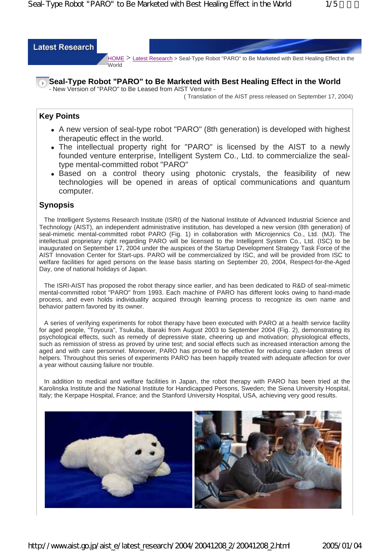World



### **Seal-Type Robot "PARO" to Be Marketed with Best Healing Effect in the World**

- New Version of "PARO" to Be Leased from AIST Venture - ( Translation of the AIST press released on September 17, 2004)

## **Key Points**

- A new version of seal-type robot "PARO" (8th generation) is developed with highest therapeutic effect in the world.
- The intellectual property right for "PARO" is licensed by the AIST to a newly founded venture enterprise, Intelligent System Co., Ltd. to commercialize the sealtype mental-committed robot "PARO"
- Based on a control theory using photonic crystals, the feasibility of new technologies will be opened in areas of optical communications and quantum computer.

## **Synopsis**

The Intelligent Systems Research Institute (ISRI) of the National Institute of Advanced Industrial Science and Technology (AIST), an independent administrative institution, has developed a new version (8th generation) of seal-mimetic mental-committed robot PARO (Fig. 1) in collaboration with Microjennics Co., Ltd. (MJ). The intellectual proprietary right regarding PARO will be licensed to the Intelligent System Co., Ltd. (ISC) to be inaugurated on September 17, 2004 under the auspices of the Startup Development Strategy Task Force of the AIST Innovation Center for Start-ups. PARO will be commercialized by ISC, and will be provided from ISC to welfare facilities for aged persons on the lease basis starting on September 20, 2004, Respect-for-the-Aged Day, one of national holidays of Japan.

The ISRI-AIST has proposed the robot therapy since earlier, and has been dedicated to R&D of seal-mimetic mental-committed robot "PARO" from 1993. Each machine of PARO has different looks owing to hand-made process, and even holds individuality acquired through learning process to recognize its own name and behavior pattern favored by its owner.

A series of verifying experiments for robot therapy have been executed with PARO at a health service facility for aged people, "Toyoura", Tsukuba, Ibaraki from August 2003 to September 2004 (Fig. 2), demonstrating its psychological effects, such as remedy of depressive state, cheering up and motivation; physiological effects, such as remission of stress as proved by urine test; and social effects such as increased interaction among the aged and with care personnel. Moreover, PARO has proved to be effective for reducing care-laden stress of helpers. Throughout this series of experiments PARO has been happily treated with adequate affection for over a year without causing failure nor trouble.

In addition to medical and welfare facilities in Japan, the robot therapy with PARO has been tried at the Karolinska Institute and the National Institute for Handicapped Persons, Sweden; the Siena University Hospital, Italy; the Kerpape Hospital, France; and the Stanford University Hospital, USA, achieving very good results.

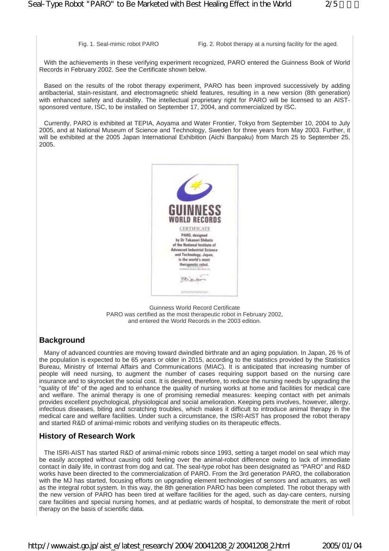Fig. 1. Seal-mimic robot PARO Fig. 2. Robot therapy at a nursing facility for the aged.

With the achievements in these verifying experiment recognized, PARO entered the Guinness Book of World Records in February 2002. See the Certificate shown below.

Based on the results of the robot therapy experiment, PARO has been improved successively by adding antibacterial, stain-resistant, and electromagnetic shield features, resulting in a new version (8th generation) with enhanced safety and durability. The intellectual proprietary right for PARO will be licensed to an AISTsponsored venture, ISC, to be installed on September 17, 2004, and commercialized by ISC.

Currently, PARO is exhibited at TEPIA, Aoyama and Water Frontier, Tokyo from September 10, 2004 to July 2005, and at National Museum of Science and Technology, Sweden for three years from May 2003. Further, it will be exhibited at the 2005 Japan International Exhibition (Aichi Banpaku) from March 25 to September 25, 2005.



Guinness World Record Certificate PARO was certified as the most therapeutic robot in February 2002, and entered the World Records in the 2003 edition.

# **Background**

Many of advanced countries are moving toward dwindled birthrate and an aging population. In Japan, 26 % of the population is expected to be 65 years or older in 2015, according to the statistics provided by the Statistics Bureau, Ministry of Internal Affairs and Communications (MIAC). It is anticipated that increasing number of people will need nursing, to augment the number of cases requiring support based on the nursing care insurance and to skyrocket the social cost. It is desired, therefore, to reduce the nursing needs by upgrading the "quality of life" of the aged and to enhance the quality of nursing works at home and facilities for medical care and welfare. The animal therapy is one of promising remedial measures: keeping contact with pet animals provides excellent psychological, physiological and social amelioration. Keeping pets involves, however, allergy, infectious diseases, biting and scratching troubles, which makes it difficult to introduce animal therapy in the medical care and welfare facilities. Under such a circumstance, the ISRI-AIST has proposed the robot therapy and started R&D of animal-mimic robots and verifying studies on its therapeutic effects.

## **History of Research Work**

The ISRI-AIST has started R&D of animal-mimic robots since 1993, setting a target model on seal which may be easily accepted without causing odd feeling over the animal-robot difference owing to lack of immediate contact in daily life, in contrast from dog and cat. The seal-type robot has been designated as "PARO" and R&D works have been directed to the commercialization of PARO. From the 3rd generation PARO, the collaboration with the MJ has started, focusing efforts on upgrading element technologies of sensors and actuators, as well as the integral robot system. In this way, the 8th generation PARO has been completed. The robot therapy with the new version of PARO has been tired at welfare facilities for the aged, such as day-care centers, nursing care facilities and special nursing homes, and at pediatric wards of hospital, to demonstrate the merit of robot therapy on the basis of scientific data.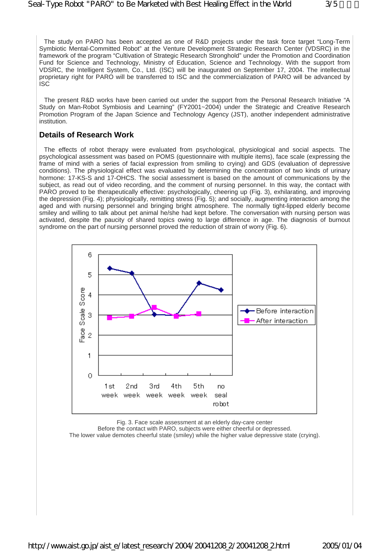The study on PARO has been accepted as one of R&D projects under the task force target "Long-Term Symbiotic Mental-Committed Robot" at the Venture Development Strategic Research Center (VDSRC) in the framework of the program "Cultivation of Strategic Research Stronghold" under the Promotion and Coordination Fund for Science and Technology, Ministry of Education, Science and Technology. With the support from VDSRC, the Intelligent System, Co., Ltd. (ISC) will be inaugurated on September 17, 2004. The intellectual proprietary right for PARO will be transferred to ISC and the commercialization of PARO will be advanced by ISC

The present R&D works have been carried out under the support from the Personal Research Initiative "A Study on Man-Robot Symbiosis and Learning" (FY2001~2004) under the Strategic and Creative Research Promotion Program of the Japan Science and Technology Agency (JST), another independent administrative institution.

#### **Details of Research Work**

The effects of robot therapy were evaluated from psychological, physiological and social aspects. The psychological assessment was based on POMS (questionnaire with multiple items), face scale (expressing the frame of mind with a series of facial expression from smiling to crying) and GDS (evaluation of depressive conditions). The physiological effect was evaluated by determining the concentration of two kinds of urinary hormone: 17-KS-S and 17-OHCS. The social assessment is based on the amount of communications by the subject, as read out of video recording, and the comment of nursing personnel. In this way, the contact with PARO proved to be therapeutically effective: psychologically, cheering up (Fig. 3), exhilarating, and improving the depression (Fig. 4); physiologically, remitting stress (Fig. 5); and socially, augmenting interaction among the aged and with nursing personnel and bringing bright atmosphere. The normally tight-lipped elderly become smiley and willing to talk about pet animal he/she had kept before. The conversation with nursing person was activated, despite the paucity of shared topics owing to large difference in age. The diagnosis of burnout syndrome on the part of nursing personnel proved the reduction of strain of worry (Fig. 6).



Fig. 3. Face scale assessment at an elderly day-care center

Before the contact with PARO, subjects were either cheerful or depressed.

The lower value demotes cheerful state (smiley) while the higher value depressive state (crying).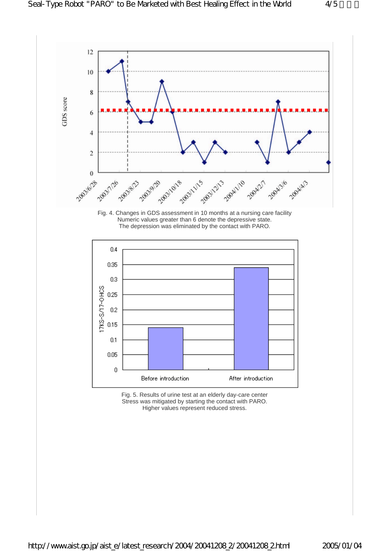